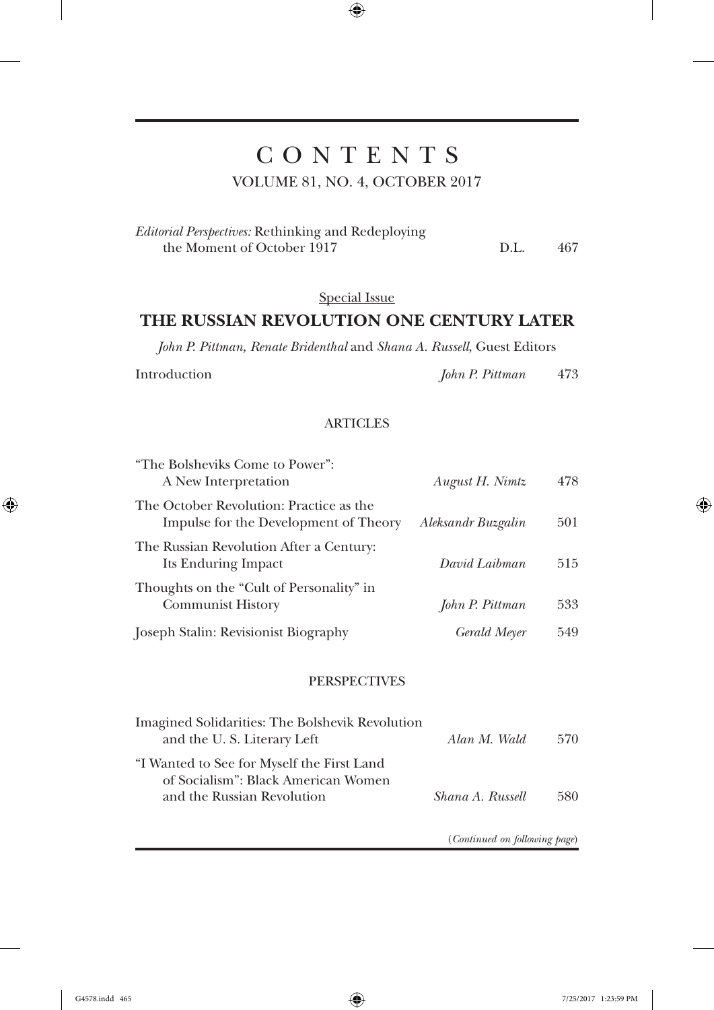# C O N T E N T S

 $\bigoplus$ 

VOLUME 81, NO. 4, OCTOBER 2017

| <i>Editorial Perspectives:</i> Rethinking and Redeploying |      |     |
|-----------------------------------------------------------|------|-----|
| the Moment of October 1917                                | D.L. | 467 |

## Special Issue

### **THE RUSSIAN REVOLUTION ONE CENTURY LATER**

*John P. Pittman, Renate Bridenthal* and *Shana A. Russell*, Guest Editors

 $\bigoplus$ 

Introduction *John P. Pittman* 473

#### **ARTICLES**

| "The Bolsheviks Come to Power":<br>A New Interpretation                          | August H. Nimtz    | 478 |
|----------------------------------------------------------------------------------|--------------------|-----|
| The October Revolution: Practice as the<br>Impulse for the Development of Theory | Aleksandr Buzgalin | 501 |
| The Russian Revolution After a Century:<br>Its Enduring Impact                   | David Laibman      | 515 |
| Thoughts on the "Cult of Personality" in<br><b>Communist History</b>             | John P. Pittman    | 533 |
| Joseph Stalin: Revisionist Biography                                             | Gerald Meyer       | 549 |

#### **PERSPECTIVES**

| Imagined Solidarities: The Bolshevik Revolution<br>and the U.S. Literary Left     | Alan M. Wald     | 570 |
|-----------------------------------------------------------------------------------|------------------|-----|
| "I Wanted to See for Myself the First Land<br>of Socialism": Black American Women |                  |     |
| and the Russian Revolution                                                        | Shana A. Russell | 580 |

(*Continued on following page*)

G4578.indd 465 7/25/2017 1:23:59 PM

 $\bigoplus$